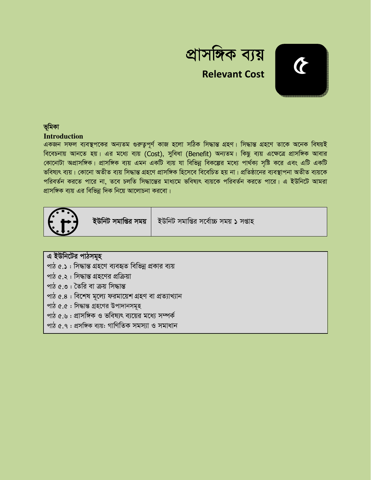



## ভূমিকা

### **Introduction**

একজন সফল ব্যবস্থপকের অন্যতম গুরুতুপূর্ণ কাজ হলো সঠিক সিদ্ধান্ত গ্রহণ। সিদ্ধান্ত গ্রহণে তাকে অনেক বিষয়ই বিবেচনায় আনতে হয়। এর মধ্যে ব্যয় (Cost), সুবিধা (Benefit) অন্যতম। কিছু ব্যয় এক্ষেত্রে প্রাসঙ্গিক আবার কোনোটা অপ্রাসঙ্গিক। প্রাসঙ্গিক ব্যয় এমন একটি ব্যয় যা বিভিন্ন বিকল্পের মধ্যে পার্থক্য সৃষ্টি করে এবং এটি একটি ভবিষ্যৎ ব্যয়। কোনো অতীত ব্যয় সিদ্ধান্ত গ্ৰহণে প্ৰাসঙ্গিক হিসেবে বিবেচিত হয় না। প্ৰতিষ্ঠানের ব্যবস্থাপনা অতীত ব্যয়কে পরিবর্তন করতে পারে না, তবে চলতি সিদ্ধান্তের মাধ্যমে ভবিষ্যৎ ব্যয়কে পরিবর্তন করতে পারে। এ ইউনিটে আমরা প্রাসঙ্গিক ব্যয় এর বিভিন্ন দিক নিয়ে আলোচনা করবো।



ইউনিট সমাপ্তির সময়

ইউনিট সমাপ্তির সর্বোচ্চ সময় ১ সপ্তাহ

এ ইউনিটের পাঠসমূহ

পাঠ ৫.১ : সিদ্ধান্ত গ্রহণে ব্যবহৃত বিভিন্ন প্রকার ব্যয়

পাঠ ৫.২: সিদ্ধান্ত গ্রহণের প্রক্রিয়া

- পাঠ ৫.৩ : তৈরি বা ক্রয় সিদ্ধান্ত
- পাঠ ৫.৪ : বিশেষ মূল্যে ফরমায়েশ গ্রহণ বা প্রত্যাখ্যান
- পাঠ ৫.৫ : সিদ্ধান্ত গ্ৰহণের উপাদানসমূহ
- পাঠ ৫.৬ : প্রাসঙ্গিক ও ভবিষ্যৎ ব্যয়ের মধ্যে সম্পর্ক
- পাঠ ৫.৭ : প্ৰসঙ্গিক ব্যয়: গাণিতিক সমস্যা ও সমাধান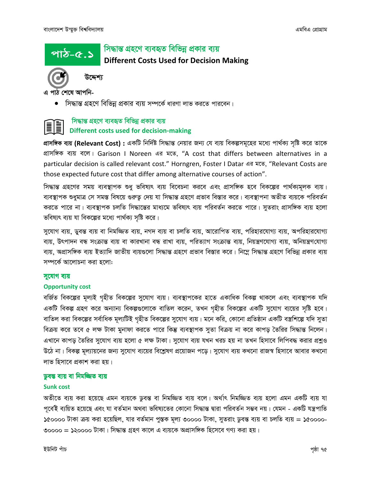পাঠ-৫.১

### সিদ্ধান্ত গ্রহণে ব্যবহৃত বিভিন্ন প্রকার ব্যয়

**Different Costs Used for Decision Making** 



উদ্দেশ্য

এ পাঠ শেষে আপনি-

্সিদ্ধান্ত গ্রহণে বিভিন্ন প্রকার ব্যয় সম্পর্কে ধারণা লাভ করতে পারবেন।

### সিদ্ধান্ত গ্রহণে ব্যবহৃত বিভিন্ন প্রকার ব্যয় Different costs used for decision-making

প্রাসঙ্গিক ব্যয় (Relevant Cost) : একটি নির্দিষ্ট সিদ্ধান্ত নেয়ার জন্য যে ব্যয় বিকল্পসমূহের মধ্যে পার্থক্য সৃষ্টি করে তাকে প্রাসঙ্গিক ব্যয় বলে। Garison I Noreen এর মতে, "A cost that differs between alternatives in a particular decision is called relevant cost." Horngren, Foster I Datar এর মতে, "Relevant Costs are those expected future cost that differ among alternative courses of action".

সিদ্ধান্ত গ্রহণের সময় ব্যবস্থাপক শুধু ভবিষ্যৎ ব্যয় বিবেচনা করবে এবং প্রাসঙ্গিক হবে বিকল্পের পার্থক্যমূলক ব্যয়। ব্যবস্থাপক শুধুমাত্র সে সমস্ত বিষয়ে গুরুত্ব দেয় যা সিদ্ধান্ত গ্রহণে প্রভাব বিস্তার করে। ব্যবস্থাপনা অতীত ব্যয়কে পরিবর্তন করতে পারে না। ব্যবস্থাপক চলতি সিদ্ধান্তের মাধ্যমে ভবিষ্যৎ ব্যয় পরিবর্তন করতে পারে। সুতরাং প্রাসঙ্গিক ব্যয় হলো ভবিষ্যৎ ব্যয় যা বিকল্পের মধ্যে পার্থক্য সৃষ্টি করে।

সুযোগ ব্যয়, ডুবন্ত ব্যয় বা নিমজ্জিত ব্যয়, নগদ ব্যয় বা চলতি ব্যয়, আরোপিত ব্যয়, পরিহারযোগ্য ব্যয়, অপরিহারযোগ্য ব্যয়, উৎপাদন বন্ধ সংক্রান্ত ব্যয় বা কারখানা বন্ধ রাখা ব্যয়, পরিত্যাগ সংক্রান্ত ব্যয়, নিয়ন্ত্রণযোগ্য ব্যয়, অনিয়ন্ত্রণযোগ্য ব্যয়, অপ্রাসঙ্গিক ব্যয় ইত্যাদি জাতীয় ব্যয়গুলো সিদ্ধান্ত গ্রহণে প্রভাব বিস্তার করে। নিম্নে সিদ্ধান্ত গ্রহণে বিভিন্ন প্রকার ব্যয় সম্পর্কে আলোচনা করা হলো:

#### সুযোগ ব্যয়

#### **Opportunity cost**

বর্জিত বিকল্পের মূল্যই গৃহীত বিকল্পের সুযোগ ব্যয়। ব্যবস্থাপকের হাতে একাধিক বিকল্প থাকলে এবং ব্যবস্থাপক যদি একটি বিকল্প গ্রহণ করে অন্যান্য বিকল্পগুলোকে বাতিল করেন, তখন গৃহীত বিকল্পের একটি সুযোগ ব্যয়ের সৃষ্টি হবে। বাতিল করা বিকল্পের সর্বাধিক মূল্যটিই গৃহীত বিকল্পের সুযোগ ব্যয়। মনে করি, কোনো প্রতিষ্ঠান একটি বস্ত্রশিল্পে যদি সুতা বিক্রয় করে তবে ৫ লক্ষ টাকা মুনাফা করতে পারে কিন্তু ব্যবস্থাপক সুতা বিক্রয় না করে কাপড় তৈরির সিদ্ধান্ত নিলেন। এখানে কাপড় তৈরির সুযোগ ব্যয় হলো ৫ লক্ষ টাকা। সুযোগ ব্যয় যখন খরচ হয় না তখন হিসাবে লিপিবদ্ধ করার প্রশ্নও উঠে না। বিকল্প মূল্যায়নের জন্য সুযোগ ব্যয়ের বিশ্লেষণ প্রয়োজন পড়ে। সুযোগ ব্যয় কখনো রাজস্ব হিসাবে আবার কখনো লাভ হিসাবে প্রকাশ করা হয়।

#### ডুবন্ত ব্যয় বা নিমজ্জিত ব্যয়

#### **Sunk cost**

অতীতে ব্যয় করা হয়েছে এমন ব্যয়কে ডুবন্ত বা নিমজ্জিত ব্যয় বলে। অর্থাৎ নিমজ্জিত ব্যয় হলো এমন একটি ব্যয় যা পূৰ্বেই ব্যয়িত হয়েছে এবং যা বৰ্তমান অথবা ভবিষ্যতের কোনো সিদ্ধান্ত দ্বারা পরিবর্তন সম্ভব নয়। যেমন - একটি যন্ত্রপাতি ১৫০০০০ টাকা ক্রয় করা হয়েছিল, যার বর্তমান পুস্তক মূল্য ৩০০০০ টাকা, সুতরাং ডুবন্ত ব্যয় বা চলতি ব্যয় = ১৫০০০০-৩০০০০ = ১২০০০০ টাকা। সিদ্ধান্ত গ্ৰহণ কালে এ ব্যয়কে অপ্ৰাসঙ্গিক হিসেবে গণ্য করা হয়।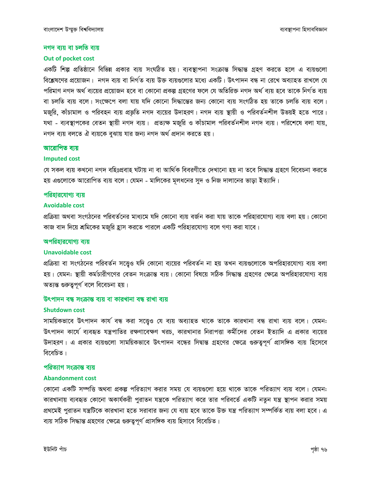#### নগদ ব্যয় বা চলতি ব্যয়

#### Out of pocket cost

একটি শিল্প প্রতিষ্ঠানে বিভিন্ন প্রকার ব্যয় সংঘঠিত হয়। ব্যবস্থাপনা সংক্রান্ত সিদ্ধান্ত গ্রহণ করতে হলে এ ব্যয়গুলো বিশ্লেষণের প্রয়োজন। নগদ ব্যয় বা নির্গত ব্যয় উক্ত ব্যয়গুলোর মধ্যে একটি। উৎপাদন বন্ধ না রেখে অব্যাহত রাখলে যে পরিমাণ নগদ অর্থ ব্যয়ের প্রয়োজন হবে বা কোনো প্রকল্প গ্রহণের ফলে যে অতিরিক্ত নগদ অর্থ ব্যয় হবে তাকে নির্গত ব্যয় বা চলতি ব্যয় বলে। সংক্ষেপে বলা যায় যদি কোনো সিদ্ধান্তের জন্য কোনো ব্যয় সংগঠিত হয় তাকে চলতি ব্যয় বলে। মজুরি, কাঁচামাল ও পরিবহন ব্যয় প্রভূতি নগদ ব্যয়ের উদাহরণ। নগদ ব্যয় স্থায়ী ও পরিবর্তনশীল উভয়ই হতে পারে। যথা - ব্যবস্থাপকের বেতন স্থায়ী নগদ ব্যয়। প্রত্যক্ষ মজুরি ও কাঁচামাল পরিবর্তনশীল নগদ ব্যয়। পরিশেষে বলা যায়, নগদ ব্যয় বলতে ঐ ব্যয়কে বুঝায় যার জন্য নগদ অর্থ প্রদান করতে হয়।

#### আরোপিত ব্যয়

#### **Imputed cost**

যে সকল ব্যয় কখনো নগদ বহিঃপ্ৰবাহ ঘটায় না বা আৰ্থিক বিবরণীতে দেখানো হয় না তবে সিদ্ধান্ত গ্রহণে বিবেচনা করতে হয় এগুলোকে আরোপিত ব্যয় বলে। যেমন - মালিকের মূলধনের সুদ ও নিজ দালানের ভাড়া ইত্যাদি।

#### পরিহারযোগ্য ব্যয়

#### **Avoidable cost**

প্রক্রিয়া অথবা সংগঠনের পরিবর্তনের মাধ্যমে যদি কোনো ব্যয় বর্জন করা যায় তাকে পরিহারযোগ্য ব্যয় বলা হয়। কোনো কাজ বাদ দিয়ে শ্রমিকের মজুরি হ্রাস করতে পারলে একটি পরিহারযোগ্য বলে গণ্য করা যাবে।

#### অপরিহারযোগ্য ব্যয়

#### **Unavoidable cost**

প্রক্রিয়া বা সংগঠনের পরিবর্তন সত্ত্বেও যদি কোনো ব্যয়ের পরিবর্তন না হয় তখন ব্যয়গুলোকে অপরিহারযোগ্য ব্যয় বলা হয়। যেমন: স্থায়ী কর্মচারীগণের বেতন সংক্রান্ত ব্যয়। কোনো বিষয়ে সঠিক সিদ্ধান্ত গ্রহণের ক্ষেত্রে অপরিহারযোগ্য ব্যয় অত্যন্ত গুরুত্বপূর্ণ বলে বিবেচনা হয়।

#### উৎপাদন বন্ধ সংক্ৰান্ত ব্যয় বা কারখানা বন্ধ রাখা ব্যয়

#### **Shutdown cost**

সাময়িকভাবে উৎপাদন কার্য বন্ধ করা সত্ত্বেও যে ব্যয় অব্যাহত থাকে তাকে কারখানা বন্ধ রাখা ব্যয় বলে। যেমন: উৎপাদন কার্যে ব্যবহৃত যন্ত্রপাতির রক্ষণাবেক্ষণ খরচ, কারখানার নিরাপত্তা কর্মীদের বেতন ইত্যাদি এ প্রকার ব্যয়ের উদাহরণ। এ প্রকার ব্যয়গুলো সাময়িকভাবে উৎপাদন বন্ধের সিদ্বান্ত গ্রহণের ক্ষেত্রে গুরুত্বপূর্ণ প্রাসঙ্গিক ব্যয় হিসেবে বিবেচিত।

#### পরিত্যাগ সংক্রান্ত ব্যয়

#### **Abandonment cost**

কোনো একটি সম্পত্তি অথবা প্রকল্প পরিত্যাগ করার সময় যে ব্যয়গুলো হয়ে থাকে তাকে পরিত্যাগ ব্যয় বলে। যেমন: কারখানায় ব্যবহৃত কোনো অকার্যকরী পুরাতন যন্ত্রকে পরিত্যাগ করে তার পরিবর্তে একটি নতুন যন্ত্র স্থাপন করার সময় প্রথমেই পুরাতন যন্ত্রটিকে কারখানা হতে সরাবার জন্য যে ব্যয় হবে তাকে উক্ত যন্ত্র পরিত্যাগ সম্পর্কিত ব্যয় বলা হবে। এ ব্যয় সঠিক সিদ্ধান্ত গ্রহণের ক্ষেত্রে গুরুত্বপূর্ণ প্রাসঙ্গিক ব্যয় হিসাবে বিবেচিত।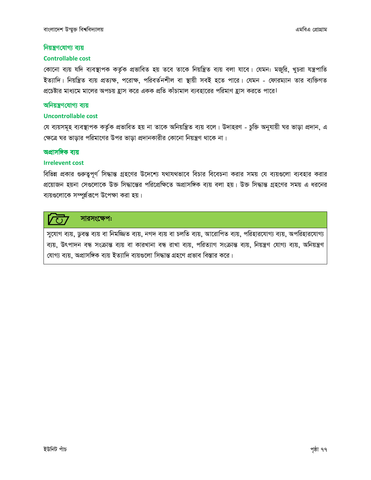#### নিয়ন্ত্রণযোগ্য ব্যয়

#### **Controllable cost**

কোনো ব্যয় যদি ব্যবস্থাপক কর্তৃক প্রভাবিত হয় তবে তাকে নিয়ন্ত্রিত ব্যয় বলা যাবে। যেমন: মজুরি, খুচরা যন্ত্রপাতি ইত্যাদি। নিয়ন্ত্রিত ব্যয় প্রত্যক্ষ, পরোক্ষ, পরিবর্তনশীল বা স্থায়ী সবই হতে পারে। যেমন - ফোরম্যান তার ব্যক্তিগত প্রচেষ্টার মাধ্যমে মালের অপচয় হ্রাস করে একক প্রতি কাঁচামাল ব্যবহারের পরিমাণ হ্রাস করতে পারে।

#### অনিয়ন্ত্রণযোগ্য ব্যয়

#### **Uncontrollable cost**

যে ব্যয়সমূহ ব্যবস্থাপক কর্তৃক প্রভাবিত হয় না তাকে অনিয়ন্ত্রিত ব্যয় বলে। উদাহরণ - চুক্তি অনুযায়ী ঘর ভাড়া প্রদান, এ ক্ষেত্রে ঘর ভাড়ার পরিমাণের উপর ভাড়া প্রদানকারীর কোনো নিয়ন্ত্রণ থাকে না।

#### অপ্রাসঙ্গিক ব্যয়

#### **Irrelevent cost**

বিভিন্ন প্রকার গুরুত্বপূর্ণ সিদ্ধান্ত গ্রহণের উদেশ্যে যথাযথভাবে বিচার বিবেচনা করার সময় যে ব্যয়গুলো ব্যবহার করার প্রয়োজন হয়না সেগুলোকে উক্ত সিদ্ধান্তের পরিপ্রেক্ষিতে অপ্রাসঙ্গিক ব্যয় বলা হয়। উক্ত সিদ্ধান্ত গ্রহণের সময় এ ধরনের ব্যয়গুলোকে সম্পূর্য়রূপে উপেক্ষা করা হয়।

#### সারসংক্ষেপ:  $\overline{C}$

সুযোগ ব্যয়, ডুবন্ত ব্যয় বা নিমজ্জিত ব্যয়, নগদ ব্যয় বা চলতি ব্যয়, আরোপিত ব্যয়, পরিহারযোগ্য ব্যয়, অপরিহারযোগ্য ব্যয়, উৎপাদন বন্ধ সংক্রান্ত ব্যয় বা কারখানা বন্ধ রাখা ব্যয়, পরিত্যাগ সংক্রান্ত ব্যয়, নিয়ন্ত্রণ যোগ্য ব্যয়, অনিয়ন্ত্রণ যোগ্য ব্যয়, অপ্রাসঙ্গিক ব্যয় ইত্যাদি ব্যয়গুলো সিদ্ধান্ত গ্রহণে প্রভাব বিস্তার করে।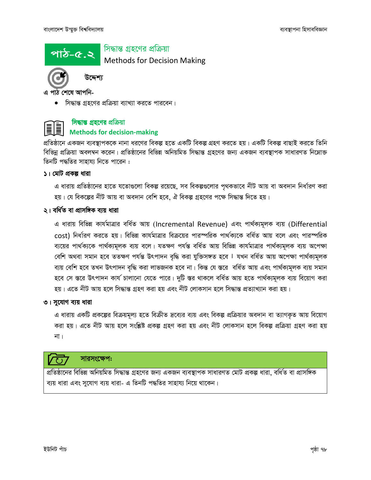

## সিদ্ধান্ত গ্ৰহণের প্রক্রিয়া

Methods for Decision Making

এ পাঠ শেষে আপনি-

উদ্দেশ্য

• সিদ্ধান্ত গ্রহণের প্রক্রিয়া ব্যাখ্যা করতে পারবেন।

### **সিদ্ধান্ত গ্ৰহণের** প্রক্রিয়া Methods for decision-making

প্রতিষ্ঠানে একজন ব্যবস্থাপককে নানা ধরণের বিকল্প হতে একটি বিকল্প গ্রহণ করতে হয়। একটি বিকল্প বাছাই করতে তিনি বিভিন্ন প্রক্রিয়া অবলম্বন করেন। প্রতিষ্ঠানের বিভিন্ন অনিয়মিত সিদ্ধান্ত গ্রহণের জন্য একজন ব্যবস্থাপক সাধারণত নিম্নোক্ত তিনটি পদ্ধতির সাহায্য নিতে পারেন :

### ১। মোট প্রকল্প ধারা

এ ধারায় প্রতিষ্ঠানের হাতে যতোগুলো বিকল্প রয়েছে, সব বিকল্পগুলোর পৃথকভাবে নীট আয় বা অবদান নির্ধারণ করা হয়। যে বিকল্পের নীট আয় বা অবদান বেশি হবে, ঐ বিকল্প গ্রহণের পক্ষে সিদ্ধান্ত দিতে হয়।

### ২। বৰ্ধিত বা প্ৰাসঙ্গিক ব্যয় ধাৱা

এ ধারায় বিভিন্ন কার্যমাত্রার বর্ধিত আয় (Incremental Revenue) এবং পার্থক্যমূলক ব্যয় (Differential cost) নির্ধারণ করতে হয়। বিভিন্ন কার্যমাত্রার বিক্রয়ের পারস্পরিক পার্থক্যকে বর্ধিত আয় বলে এবং পারস্পরিক ব্যয়ের পার্থক্যকে পার্থক্যমূলক ব্যয় বলে। যতক্ষণ পর্যন্ত বর্ধিত আয় বিভিন্ন কার্যমাত্রার পার্থক্যমূলক ব্যয় অপেক্ষা বেশি অথবা সমান হবে ততক্ষণ পর্যন্ত উৎপাদন বৃদ্ধি করা যুক্তিসঙ্গত হবে । যখন বর্ধিত আয় অপেক্ষা পার্থক্যমূলক ব্যয় বেশি হবে তখন উৎপাদন বৃদ্ধি করা লাভজনক হবে না। কিন্ত যে স্তরে বর্ধিত আয় এবং পার্থক্যমূলক ব্যয় সমান হবে সে স্তরে উৎপাদন কার্য চালানো যেতে পারে। দুটি স্তর থাকলে বর্ধিত আয় হতে পার্থক্যমূলক ব্যয় বিয়োগ করা হয়। এতে নীট আয় হলে সিদ্ধান্ত গ্ৰহণ করা হয় এবং নীট লোকসান হলে সিদ্ধান্ত প্ৰত্যাখ্যান করা হয়।

### ৩। সুযোগ ব্যয় ধারা

এ ধারায় একটি প্রকল্পের বিক্রয়মূল্য হতে বিক্রীত দ্রব্যের ব্যয় এবং বিকল্প প্রক্রিয়ার অবদান বা ত্যাগকৃত আয় বিয়োগ করা হয়। এতে নীট আয় হলে সংশ্লিষ্ট প্রকল্প গ্রহণ করা হয় এবং নীট লোকসান হলে বিকল্প প্রক্রিয়া গ্রহণ করা হয় না ।

### সারসংক্ষেপ:

প্রতিষ্ঠানের বিভিন্ন অনিয়মিত সিদ্ধান্ত গ্রহণের জন্য একজন ব্যবস্থাপক সাধারণত মোট প্রকল্প ধারা, বর্ধিত বা প্রাসঙ্গিক ব্যয় ধারা এবং সুযোগ ব্যয় ধারা- এ তিনটি পদ্ধতির সাহায্য নিয়ে থাকেন।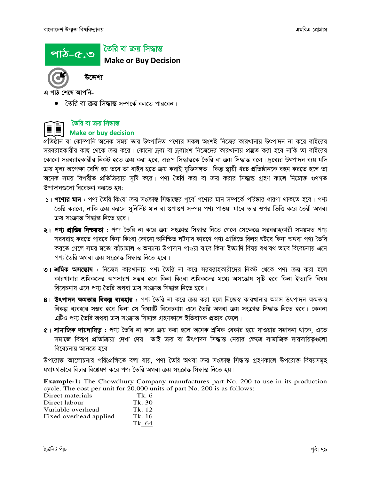#### তৈরি বা ক্রয় সিদ্ধান্ত পাঠ-৫.৩

**Make or Buy Decision** 

এ পাঠ শেষে আপনি-

• তৈরি বা ক্রয় সিদ্ধান্ত সম্পর্কে বলতে পারবেন।

## তৈরি বা ক্রয় সিদ্ধান্ত

উদ্দেশ্য

### **Make or buy decision**

প্রতিষ্ঠান বা কোম্পানি অনেক সময় তার উৎপাদিত পণ্যের সকল অংশই নিজের কারখানায় উৎপাদন না করে বাইরের সরবরাহকারীর কাছ থেকে ক্রয় করে। কোনো দ্রব্য বা দ্রব্যাংশ নিজেদের কারখানায় প্রস্তুত করা হবে নাকি তা বাইরের কোনো সরবরাহকারীর নিকট হতে ক্রয় করা হবে, এরূপ সিদ্ধান্তকে তৈরি বা ক্রয় সিদ্ধান্ত বলে। দ্রব্যের উৎপাদন ব্যয় যদি ক্রয় মূল্য অপেক্ষা বেশি হয় তবে তা বাইর হতে ক্রয় করাই যুক্তিসঙ্গত। কিন্তু স্থায়ী খরচ প্রতিষ্ঠানকে বহন করতে হলে তা অনেক সময় বিপরীত প্রতিক্রিয়ায় সৃষ্টি করে। পণ্য তৈরি করা বা ক্রয় করার সিদ্ধান্ত গ্রহণ কালে নিম্নোক্ত গুণগত উপাদানগুলো বিবেচনা করতে হয়:

- ১। পণ্যের মান : পণ্য তৈরি কিংবা ক্রয় সংক্রান্ত সিদ্ধান্তের পূর্বে পণ্যের মান সম্পর্কে পরিষ্কার ধারণা থাকতে হবে। পণ্য তৈরি করলে, নাকি ক্রয় করলে সনির্দিষ্ট মান বা গুণাগুণ সম্পন্ন পণ্য পাওয়া যাবে তার ওপর ভিত্তি করে তৈরী অথবা ক্ৰয় সংক্ৰান্ত সিদ্ধান্ত নিতে হবে।
- **২। পণ্য প্রাপ্তির নিশ্চয়তা** : পণ্য তৈরি না করে ক্রয় সংক্রান্ত সিদ্ধান্ত নিতে গেলে সেক্ষেত্রে সরবরাহকারী সময়মত পণ্য সরবরাহ করতে পারবে কিনা কিংবা কোনো অনিশ্চিত ঘটনার কারণে পণ্য প্রাপ্তিতে বিলম্ব ঘটবে কিনা অথবা পণ্য তৈরি করতে গেলে সময় মতো কাঁচামাল ও অন্যান্য উপাদান পাওয়া যাবে কিনা ইত্যাদি বিষয় যথাযথ ভাবে বিবেচনায় এনে পণ্য তৈরি অথবা ক্রয় সংক্রান্ত সিদ্ধান্ত নিতে হবে।
- **৩। শ্রমিক অসম্ভোষ** : নিজেস্ব কারখানায় পণ্য তৈরি না করে সরবরাহকারীদের নিকট থেকে পণ্য ক্রয় করা হলে কারখানার শ্রমিকদের অপসারণ সম্ভব হবে কিনা কিংবা শ্রমিকদের মধ্যে অসন্তোষ সষ্টি হবে কিনা ইত্যাদি বিষয় বিবেচনায় এনে পণ্য তৈরি অথবা ক্রয় সংক্রান্ত সিদ্ধান্ত নিতে হবে।
- **৪। উৎপাদন ক্ষমতার বিকল্প ব্যবহার** : পণ্য তৈরি না করে ক্রয় করা হলে নিজেস্ব কারখানার অলস উৎপাদন ক্ষমতার বিকল্প ব্যবহার সম্ভব হবে কিনা সে বিষয়টি বিবেচনায় এনে তৈরি অথবা ক্রয় সংক্রান্ত সিদ্ধান্ত নিতে হবে। কেননা এটিও পণ্য তৈরি অথবা ক্রয় সংক্রান্ত সিদ্ধান্ত গ্রহণকালে ইতিবাচক প্রভাব ফেলে।
- ৫। সামাজিক দায়দায়িত্ব : পণ্য তৈরি না করে ক্রয় করা হলে অনেক শ্রমিক বেকার হয়ে যাওয়ার সম্ভাবনা থাকে, এতে সমাজে বিরূপ প্রতিক্রিয়া দেখা দেয়। তাই ক্রয় বা উৎপাদন সিদ্ধান্ত নেয়ার ক্ষেত্রে সামাজিক দায়দায়িতৃগুলো বিবেচনায় আনতে হবে।

উপরোক্ত আলোচনার পরিপ্রেক্ষিতে বলা যায়, পণ্য তৈরি অথবা ক্রয় সংক্রান্ত সিদ্ধান্ত গ্রহণকালে উপরোক্ত বিষয়সমূহ যথাযথভাবে বিচার বিশ্লেষণ করে পণ্য তৈরি অথবা ক্রয় সংক্রান্ত সিদ্ধান্ত নিতে হয়।

**Example-1:** The Chowdhury Company manufactures part No. 200 to use in its production cycle. The cost per unit for 20,000 units of part No. 200 is as follows:

| Direct materials       | Tk. 6  |
|------------------------|--------|
| Direct labour          | Tk. 30 |
| Variable overhead      | Tk. 12 |
| Fixed overhead applied | Tk. 16 |
|                        | Tk. 64 |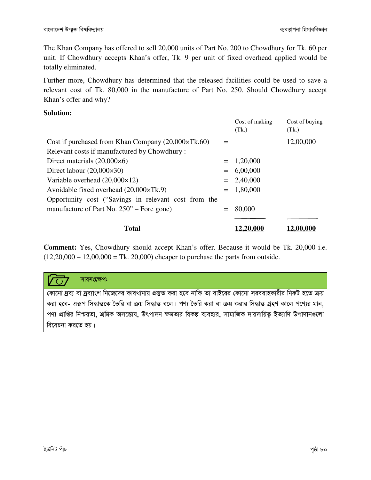The Khan Company has offered to sell 20,000 units of Part No. 200 to Chowdhury for Tk. 60 per unit. If Chowdhury accepts Khan's offer, Tk. 9 per unit of fixed overhead applied would be totally eliminated.

Further more, Chowdhury has determined that the released facilities could be used to save a relevant cost of Tk. 80,000 in the manufacture of Part No. 250. Should Chowdhury accept Khan's offer and why?

#### **Solution:**

|                                                             |     | Cost of making<br>(Tk.) | Cost of buying<br>(Tk.) |
|-------------------------------------------------------------|-----|-------------------------|-------------------------|
| Cost if purchased from Khan Company $(20,000 \times Tk.60)$ | $=$ |                         | 12,00,000               |
| Relevant costs if manufactured by Chowdhury:                |     |                         |                         |
| Direct materials $(20,000\times6)$                          |     | $= 1,20,000$            |                         |
| Direct labour $(20,000 \times 30)$                          | $=$ | 6,00,000                |                         |
| Variable overhead $(20,000\times12)$                        |     | $= 2,40,000$            |                         |
| Avoidable fixed overhead (20,000×Tk.9)                      | $=$ | 1,80,000                |                         |
| Opportunity cost ("Savings in relevant cost from the        |     |                         |                         |
| manufacture of Part No. 250" – Fore gone)                   | $=$ | 80,000                  |                         |
|                                                             |     |                         |                         |
| <b>Total</b>                                                |     | 12,20,000               | 12,00,000               |

**Comment:** Yes, Chowdhury should accept Khan's offer. Because it would be Tk. 20,000 i.e.  $(12,20,000 - 12,00,000 =$ Tk. 20,000) cheaper to purchase the parts from outside.

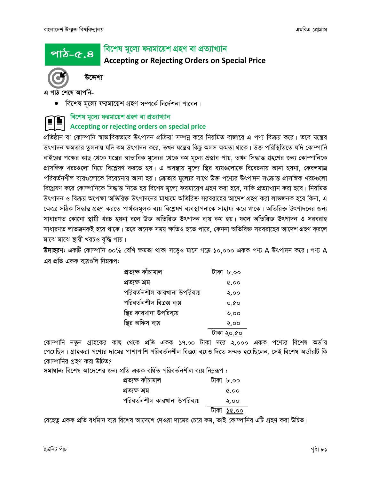<u>পাঠ-৫.৪</u>

### বিশেষ মূল্যে ফরমায়েশ গ্রহণ বা প্রত্যাখ্যান

### **Accepting or Rejecting Orders on Special Price**



উদ্দেশ্য

এ পাঠ শেষে আপনি-

• বিশেষ মূল্যে ফরমায়েশ গ্রহণ সম্পর্কে নির্দেশনা পাবেন।

### বিশেষ মূল্যে ফরমায়েশ গ্রহণ বা প্রত্যাখ্যান Accepting or rejecting orders on special price

প্রতিষ্ঠান বা কোম্পানি স্বাভাবিকভাবে উৎপাদন প্রক্রিয়া সম্পন্ন করে নিয়মিত বাজারে এ পণ্য বিক্রয় করে। তবে যন্ত্রের উৎপাদন ক্ষমতার তুলনায় যদি কম উৎপাদন করে, তখন যন্ত্রের কিছু অলস ক্ষমতা থাকে। উক্ত পরিস্থিতিতে যদি কোম্পানি বাইরের পক্ষের কাছ থেকে যন্ত্রের স্বাভাবিক মূল্যের থেকে কম মূল্যে প্রস্তাব পায়, তখন সিদ্ধান্ত গ্রহণের জন্য কোম্পানিকে প্রাসঙ্গিক খরচগুলো নিয়ে বিশ্লেষণ করতে হয়। এ অবস্থায় মূল্যে স্থির ব্যয়গুলোকে বিবেচনায় আনা হয়না, কেবলমাত্র পরিবর্তনশীল ব্যয়গুলোকে বিবেচনায় আনা হয়। ক্রেতার মূল্যের সাথে উক্ত পণ্যের উৎপাদন সংক্রান্ত প্রাসঙ্গিক খরচগুলো বিশ্লেষণ করে কোম্পানিকে সিদ্ধান্ত নিতে হয় বিশেষ মূল্যে ফরমায়েশ গ্রহণ করা হবে, নাকি প্রত্যাখ্যান করা হবে। নিয়মিত উৎপাদন ও বিক্রয় অপেক্ষা অতিরিক্ত উৎপাদনের মাধ্যমে অতিরিক্ত সরবরাহের আদেশ গ্রহণ করা লাভজনক হবে কিনা, এ ক্ষেত্রে সঠিক সিদ্ধান্ত গ্রহণ করতে পার্থক্যমূলক ব্যয় বিশ্লেষণ ব্যবস্থাপনাকে সাহায্য করে থাকে। অতিরিক্ত উৎপাদনের জন্য সাধারণত কোনো স্থায়ী খরচ হয়না বলে উক্ত অতিরিক্ত উৎপাদন ব্যয় কম হয়। ফলে অতিরিক্ত উৎপাদন ও সরবরাহ সাধারণত লাভজনকই হয়ে থাকে। তবে অনেক সময় ক্ষতিও হতে পারে, কেননা অতিরিক্ত সরবরাহের আদেশ গ্রহণ করলে মাঝে মাঝে স্থায়ী খরচও বৃদ্ধি পায়।

উদাহরণ: একটি কোম্পানি ৩০% বেশি ক্ষমতা থাকা সত্ত্বেও মাসে গড়ে ১০,০০০ একক পণ্য A উৎপাদন করে। পণ্য A এর প্রতি একক ব্যয়গুলি নিম্নরূপ:

| প্ৰত্যক্ষ কাঁচামাল            | টাকা ৮.০০         |
|-------------------------------|-------------------|
| প্ৰত্যক্ষ শ্ৰম                | $\mathfrak{0.90}$ |
| পরিবর্তনশীল কারখানা উপরিব্যয় | २.००              |
| পরিবর্তনশীল বিক্রয় ব্যয়     | ০.৫০              |
| স্থির কারখানা উপরিব্যয়       | ৩.০০              |
| স্থির অফিস ব্যয়              | २.००              |
|                               | টাকা ২০.৫০        |

কোম্পানি নতুন গ্রাহকের কাছ থেকে প্রতি একক ১৭.০০ টাকা দরে ২,০০০ একক পণ্যের বিশেষ অর্ডার পেয়েছিল। গ্রাহকরা পণ্যের দামের পাশাপাশি পরিবর্তনশীল বিক্রয় ব্যয়ও দিতে সম্মত হয়েছিলেন, সেই বিশেষ অর্ডারটি কি কোম্পানির গ্রহণ করা উচিত?

সমাধান: বিশেষ আদেশের জন্য প্রতি একক বর্ধিত পরিবর্তনশীল ব্যয় নিমুরূপ :

| প্ৰত্যক্ষ কাঁচামাল            | টাকা ৮.০০         |  |
|-------------------------------|-------------------|--|
| প্ৰত্যক্ষ শ্ৰম                | $\alpha$ .00      |  |
| পরিবর্তনশীল কারখানা উপরিব্যয় | २.००              |  |
|                               | <u>টাকা ১৫.০০</u> |  |

যেহেতু একক প্রতি বর্ধমান ব্যয় বিশেষ আদেশে দেওয়া দামের চেয়ে কম, তাই কোম্পানির এটি গ্রহণ করা উচিত।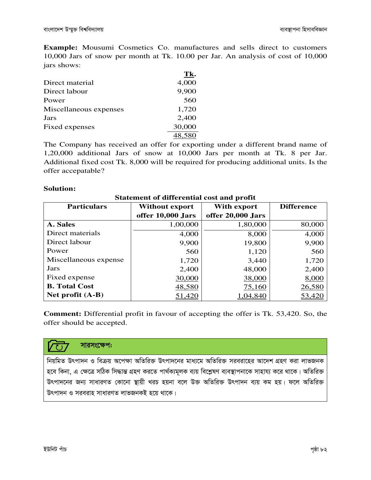**Example:** Mousumi Cosmetics Co. manufactures and sells direct to customers 10,000 Jars of snow per month at Tk. 10.00 per Jar. An analysis of cost of 10,000 jars shows:

|                        | Tk.    |
|------------------------|--------|
| Direct material        | 4,000  |
| Direct labour          | 9,900  |
| Power                  | 560    |
| Miscellaneous expenses | 1,720  |
| Jars                   | 2,400  |
| Fixed expenses         | 30,000 |
|                        | 48.580 |
|                        |        |

The Company has received an offer for exporting under a different brand name of 1,20,000 additional Jars of snow at 10,000 Jars per month at Tk. 8 per Jar. Additional fixed cost Tk. 8,000 will be required for producing additional units. Is the offer accepatable?

#### **Solution:**

| <b>Statement of differential cost and profit</b> |                   |                   |               |  |
|--------------------------------------------------|-------------------|-------------------|---------------|--|
| <b>Particulars</b>                               | With export       | <b>Difference</b> |               |  |
|                                                  | offer 10,000 Jars | offer 20,000 Jars |               |  |
| A. Sales                                         | 1,00,000          | 1,80,000          | 80,000        |  |
| Direct materials                                 | 4,000             | 8,000             | 4,000         |  |
| Direct labour                                    | 9,900             | 19,800            | 9,900         |  |
| Power                                            | 560               | 1,120             | 560           |  |
| Miscellaneous expense                            | 1,720             | 3,440             | 1,720         |  |
| Jars                                             | 2,400             | 48,000            | 2,400         |  |
| Fixed expense                                    | 30,000            | 38,000            | 8,000         |  |
| <b>B.</b> Total Cost                             | 48,580            | 75,160            | 26,580        |  |
| Net profit $(A-B)$                               | 51,420            | ,04,840           | <u>53,420</u> |  |

**Comment:** Differential profit in favour of accepting the offer is Tk. 53,420. So, the offer should be accepted.



নিয়মিত উৎপাদন ও বিক্রয় অপেক্ষা অতিরিক্ত উৎপাদনের মাধ্যমে অতিরিক্ত সরবরাহের আদেশ গ্রহণ করা লাভজনক হবে কিনা, এ ক্ষেত্রে সঠিক সিদ্ধান্ত গ্রহণ করতে পার্থক্যমূলক ব্যয় বিশ্লেষণ ব্যবস্থাপনাকে সাহায্য করে থাকে। অতিরিক্ত উৎপাদনের জন্য সাধারণত কোনো স্থায়ী খরচ হয়না বলে উক্ত অতিরিক্ত উৎপাদন ব্যয় কম হয়। ফলে অতিরিক্ত উৎপাদন ও সরবরাহ সাধারণত লাভজনকই হয়ে থাকে।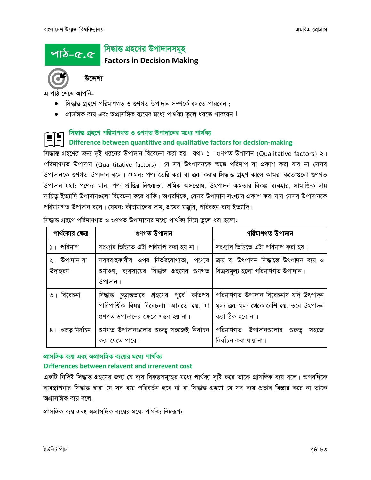#### সিদ্ধান্ত গ্ৰহণের উপাদানসমূহ পাঠ-৫.৫

**Factors in Decision Making** 

এ পাঠ শেষে আপনি-

উদ্দেশ্য

- সিদ্ধান্ত গ্রহণে পরিমাণগত ও গুণগত উপাদান সম্পর্কে বলতে পারবেন ;
- প্রাসঙ্গিক ব্যয় এবং অপ্রাসঙ্গিক ব্যয়ের মধ্যে পার্থক্য তুলে ধরতে পারবেন ।

# সিদ্ধান্ত গ্রহণে পরিমাণগত ও গুণগত উপাদানের মধ্যে পার্থক্য Difference between quantitive and qualitative factors for decision-making

সিদ্ধান্ত গ্রহণের জন্য দুই ধরনের উপাদান বিবেচনা করা হয়। যথা: ১। গুণগত উপাদান (Qualitative factors) ২। পরিমাণগত উপাদান (Quantitative factors)। যে সব উৎপাদনকে অঙ্কে পরিমাপ বা প্রকাশ করা যায় না সেসব উপাদানকে গুণগত উপাদান বলে। যেমন: পণ্য তৈরি করা বা ক্রয় করার সিদ্ধান্ত গ্রহণ কালে আমরা কতোগুলো গুণগত উপাদান যথা: পণ্যের মান, পণ্য প্রাপ্তির নিশ্চয়তা, শ্রমিক অসন্তোষ, উৎপাদন ক্ষমতার বিকল্প ব্যবহার, সামাজিক দায় দায়িত্ব ইত্যাদি উপাদানগুলো বিবেচনা করে থাকি। অপরদিকে, যেসব উপাদান সংখ্যায় প্রকাশ করা যায় সেসব উপাদানকে পরিমাণগত উপাদান বলে। যেমন: কাঁচামালের দাম, শ্রমের মজুরি, পরিবহন ব্যয় ইত্যাদি।

| পার্থক্যের ক্ষেত্র<br>গুণগত উপাদান |                                                                                                                                     | পরিমাণগত উপাদান                                                                                        |
|------------------------------------|-------------------------------------------------------------------------------------------------------------------------------------|--------------------------------------------------------------------------------------------------------|
| ১। পরিমাপ                          | সংখ্যার ভিত্তিতে এটা পরিমাপ করা হয় না।                                                                                             | সংখ্যার ভিত্তিতে এটা পরিমাপ করা হয়।                                                                   |
| ২। উপাদান বা<br>উদাহরণ             | সরবরাহকারীর ওপর নির্ভরযোগ্যতা, পণ্যের<br>গুণাগুণ, ব্যবসায়ের সিদ্ধান্ত গ্রহণের গুণগত<br>উপাদান।                                     | ক্রয় বা উৎপাদন সিদ্ধান্তে উৎপাদন ব্যয় ও<br>বিক্রয়মূল্য হলো পরিমাণগত উপাদান।                         |
| ৩। বিবেচনা                         | সিদ্ধান্ত চূড়ান্তভাবে গ্রহণের পূর্বে কতিপয়<br>পারিপার্শ্বিক বিষয় বিবেচনায় আনতে হয়, যা<br>গুণগত উপাদানের ক্ষেত্রে সম্ভব হয় না। | পরিমাণগত উপাদান বিবেচনায় যদি উৎপাদন<br>মূল্য ক্রয় মূল্য থেকে বেশি হয়, তবে উৎপাদন<br>করা ঠিক হবে না। |
| ৪। গুরুত্ব নির্বাচন                | গুণগত উপাদানগুলোর গুরুত্ব সহজেই নির্বাচন<br>করা যেতে পারে।                                                                          | পরিমাণগত উপাদানগুলোর<br>গুরুত্ব<br>সহজে<br>নিৰ্বাচন করা যায় না।                                       |

সিদ্ধান্ত গ্রহণে পরিমাণগত ও গুণগত উপাদানের মধ্যে পার্থক্য নিম্নে তুলে ধরা হলো:

### প্রাসঙ্গিক ব্যয় এবং অপ্রাসঙ্গিক ব্যয়ের মধ্যে পার্থক্য Differences between relavent and irrerevent cost

একটি নির্দিষ্ট সিদ্ধান্ত গ্রহণের জন্য যে ব্যয় বিকল্পসমূহের মধ্যে পার্থক্য সৃষ্টি করে তাকে প্রাসঙ্গিক ব্যয় বলে। অপরদিকে ব্যবস্থাপনার সিদ্ধান্ত দ্বারা যে সব ব্যয় পরিবর্তন হবে না বা সিদ্ধান্ত গ্রহণে যে সব ব্যয় প্রভাব বিস্তার করে না তাকে অপ্রাসঙ্গিক বায় বলে।

প্রাসঙ্গিক ব্যয় এবং অপ্রাসঙ্গিক ব্যয়ের মধ্যে পার্থক্য নিম্নরূপ: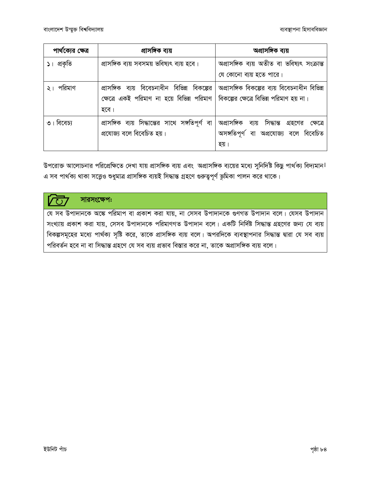| পার্থক্যের ক্ষেত্র | প্ৰাসঙ্গিক ব্যয়                                                                             | অপ্ৰাসঙ্গিক ব্যয়                            |
|--------------------|----------------------------------------------------------------------------------------------|----------------------------------------------|
| ১। প্রকৃতি         | প্রাসঙ্গিক ব্যয় সবসময় ভবিষ্যৎ ব্যয় হবে।                                                   | অপ্ৰাসঙ্গিক ব্যয় অতীত বা ভবিষ্যৎ সংক্ৰান্ত  |
|                    |                                                                                              | যে কোনো ব্যয় হতে পারে।                      |
| পরিমাণ             | প্রাসঙ্গিক ব্যয় বিবেচনাধীন বিভিন্ন বিকল্পের   অপ্রাসঙ্গিক বিকল্পের ব্যয় বিবেচনাধীন বিভিন্ন |                                              |
|                    | ক্ষেত্রে একই পরিমাণ না হয়ে বিভিন্ন পরিমাণ   বিকল্পের ক্ষেত্রে বিভিন্ন পরিমাণ হয় না।        |                                              |
|                    | হবে।                                                                                         |                                              |
| ৩। বিবেচ্য         | প্রাসঙ্গিক ব্যয় সিদ্ধান্তের সাথে সঙ্গতিপূর্ণ বা                                             | অপ্রাসঙ্গিক ব্যয় সিদ্ধান্ত গ্রহণের ক্ষেত্রে |
|                    | প্রযোজ্য বলে বিবেচিত হয়।                                                                    | অসঙ্গতিপূর্ণ বা অপ্রযোজ্য বলে বিবেচিত        |
|                    |                                                                                              | হয়।                                         |

উপরোক্ত আলোচনার পরিপ্রেক্ষিতে দেখা যায় প্রাসঙ্গিক ব্যয় এবং অপ্রাসঙ্গিক ব্যয়ের মধ্যে সুনির্দিষ্ট কিছু পার্থক্য বিদ্যমান। এ সব পার্থক্য থাকা সত্ত্বেও শুধুমাত্র প্রাসঙ্গিক ব্যয়ই সিদ্ধান্ত গ্রহণে গুরুত্বপূর্ণ ভূমিকা পালন করে থাকে।

### সারসংক্ষেপ:

যে সব উপাদানকে অঙ্কে পরিমাপ বা প্রকাশ করা যায়, না সেসব উপাদানকে গুণগত উপাদান বলে। যেসব উপাদান সংখ্যায় প্রকাশ করা যায়, সেসব উপাদানকে পরিমাণগত উপাদান বলে। একটি নির্দিষ্ট সিদ্ধান্ত গ্রহণের জন্য যে ব্যয় বিকল্পসমূহের মধ্যে পার্থক্য সৃষ্টি করে, তাকে প্রাসঙ্গিক ব্যয় বলে। অপরদিকে ব্যবস্থাপনার সিদ্ধান্ত দ্বারা যে সব ব্যয় পরিবর্তন হবে না বা সিদ্ধান্ত গ্রহণে যে সব ব্যয় প্রভাব বিস্তার করে না, তাকে অপ্রাসঙ্গিক ব্যয় বলে।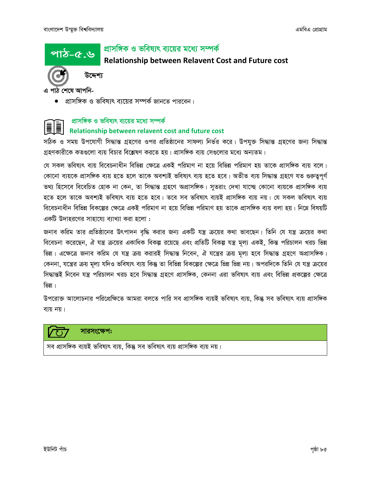পাঠ-৫.৬

### প্রাসঙ্গিক ও ভবিষ্যৎ ব্যয়ের মধ্যে সম্পর্ক

### Relationship between Relavent Cost and Future cost



উদ্দেশ্য

এ পাঠ শেষে আপনি-

• প্রাসঙ্গিক ও ভবিষ্যৎ ব্যয়ের সম্পর্ক জানতে পারবেন।

# প্রাসঙ্গিক ও ভবিষ্যৎ ব্যয়ের মধ্যে সম্পর্ক Relationship between relavent cost and future cost

সঠিক ও সময় উপযোগী সিদ্ধান্ত গ্রহণের ওপর প্রতিষ্ঠানের সাফল্য নির্ভর করে। উপযুক্ত সিদ্ধান্ত গ্রহণের জন্য সিদ্ধান্ত গ্রহণকারীকে কতগুলো ব্যয় বিচার বিশ্লেষণ করতে হয়। প্রাসঙ্গিক ব্যয় সেগুলোর মধ্যে অন্যতম।

যে সকল ভবিষ্যৎ ব্যয় বিবেচনাধীন বিভিন্ন ক্ষেত্রে একই পরিমাণ না হয়ে বিভিন্ন পরিমাণ হয় তাকে প্রাসঙ্গিক ব্যয় বলে। কোনো ব্যয়কে প্রাসঙ্গিক ব্যয় হতে হলে তাকে অবশ্যই ভবিষ্যৎ ব্যয় হতে হবে। অতীত ব্যয় সিদ্ধান্ত গ্রহণে যত গুরুত্বপূর্ণ তথ্য হিসেবে বিবেচিত হোক না কেন, তা সিদ্ধান্ত গ্রহণে অপ্রাসঙ্গিক। সুতরাং দেখা যাচ্ছে কোনো ব্যয়কে প্রাসঙ্গিক ব্যয় হতে হলে তাকে অবশ্যই ভবিষ্যৎ ব্যয় হতে হবে। তবে সব ভবিষ্যৎ ব্যয়ই প্রাসঙ্গিক ব্যয় নয়। যে সকল ভবিষ্যৎ ব্যয় বিবেচনাধীন বিভিন্ন বিকল্পের ক্ষেত্রে একই পরিমাণ না হয়ে বিভিন্ন পরিমাণ হয় তাকে প্রাসঙ্গিক ব্যয় বলা হয়। নিম্নে বিষয়টি একটি উদাহবণের সাহায়ে৷ ব্যাখ্যা করা হলো :

জনাব করিম তার প্রতিষ্ঠানের উৎপাদন বৃদ্ধি করার জন্য একটি যন্ত্র ক্রয়ের কথা ভাবছেন। তিনি যে যন্ত্র ক্রয়ের কথা বিবেচনা করেছেন, ঐ যন্ত্র ক্রয়ের একাধিক বিকল্প রয়েছে এবং প্রতিটি বিকল্প যন্ত্র মূল্য একই, কিন্ত পরিচালন খরচ ভিন্ন ভিন্ন। এক্ষেত্রে জনাব করিম যে যন্ত্র ক্রয় করারই সিদ্ধান্ত নিবেন, ঐ যন্ত্রের ক্রয় মূল্য হবে সিদ্ধান্ত গ্রহণে অপ্রাসঙ্গিক। কেননা, যন্ত্রের ক্রয় মূল্য যদিও ভবিষ্যৎ ব্যয় কিন্তু তা বিভিন্ন বিকল্পের ক্ষেত্রে ভিন্ন ন্ডিয় নয়। অপরদিকে তিনি যে যন্ত্র ক্রয়ের সিদ্ধান্তই নিবেন যন্ত্র পরিচালন খরচ হবে সিদ্ধান্ত গ্রহণে প্রাসঙ্গিক, কেননা এরা ভবিষ্যৎ ব্যয় এবং বিভিন্ন প্রকল্পের ক্ষেত্রে ভিন্ন।

উপরোক্ত আলোচনার পরিপ্রেক্ষিতে আমরা বলতে পারি সব প্রাসঙ্গিক ব্যয়ই ভবিষ্যৎ ব্যয়, কিন্তু সব ভবিষ্যৎ ব্যয় প্রাসঙ্গিক ব্যয় নয়।



সারসংক্ষেপ:

সব প্রাসঙ্গিক ব্যয়ই ভবিষ্যৎ ব্যয়, কিন্তু সব ভবিষ্যৎ ব্যয় প্রাসঙ্গিক ব্যয় নয়।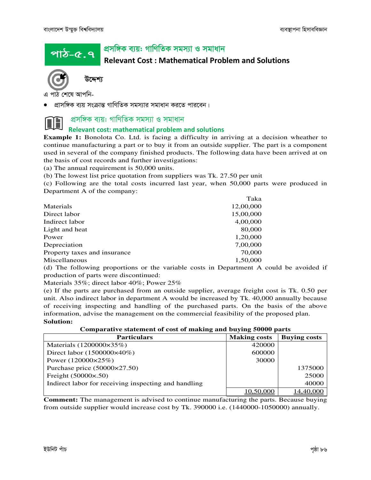<u>পাঠ-৫.৭ '</u>

### প্ৰসঙ্গিক ব্যয়: গাণিতিক সমস্যা ও সমাধান

Relevant Cost : Mathematical Problem and Solutions



উদ্দেশ্য

পাঠ শেষে আপনি-

প্রাসঙ্গিক ব্যয় সংক্রান্ত গাণিতিক সমস্যার সমাধান করতে পারবেন।

### প্ৰসঙ্গিক ব্যয়: গাণিতিক সমস্যা ও সমাধান

#### Relevant cost: mathematical problem and solutions

**Example 1:** Bonolota Co. Ltd. is facing a difficulty in arriving at a decision wheather to continue manufacturing a part or to buy it from an outside supplier. The part is a component used in several of the company finished products. The following data have been arrived at on the basis of cost records and further investigations:

(a) The annual requirement is 50,000 units.

(b) The lowest list price quotation from suppliers was Tk. 27.50 per unit

(c) Following are the total costs incurred last year, when 50,000 parts were produced in Department A of the company:

|                              | Taka      |
|------------------------------|-----------|
| Materials                    | 12,00,000 |
| Direct labor                 | 15,00,000 |
| Indirect labor               | 4,00,000  |
| Light and heat               | 80,000    |
| Power                        | 1,20,000  |
| Depreciation                 | 7,00,000  |
| Property taxes and insurance | 70,000    |
| Miscellaneous                | 1,50,000  |

(d) The following proportions or the variable costs in Department A could be avoided if production of parts were discontinued:

Materials 35%; direct labor 40%; Power 25%

(e) If the parts are purchased from an outside supplier, average freight cost is Tk. 0.50 per unit. Also indirect labor in department A would be increased by Tk. 40,000 annually because of receiving inspecting and handling of the purchased parts. On the basis of the above information, advise the management on the commercial feasibility of the proposed plan. **Solution:** 

**Comparative statement of cost of making and buying 50000 parts** 

| <b>Particulars</b>                                   | <b>Making costs</b> | <b>Buying costs</b> |
|------------------------------------------------------|---------------------|---------------------|
| Materials (1200000×35%)                              | 420000              |                     |
| Direct labor (1500000×40%)                           | 600000              |                     |
| Power $(120000 \times 25\%)$                         | 30000               |                     |
| Purchase price $(50000 \times 27.50)$                |                     | 1375000             |
| Freight $(50000 \times 0.50)$                        |                     | 25000               |
| Indirect labor for receiving inspecting and handling |                     | 40000               |
|                                                      |                     | 14.40.000           |

**Comment:** The management is advised to continue manufacturing the parts. Because buying from outside supplier would increase cost by Tk. 390000 i.e. (1440000-1050000) annually.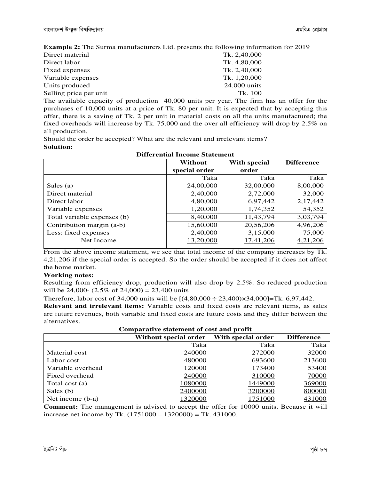**Example 2:** The Surma manufacturers Ltd. presents the following information for 2019

| Direct material        | Tk. 2,40,000 |
|------------------------|--------------|
| Direct labor           | Tk. 4,80,000 |
| Fixed expenses         | Tk. 2,40,000 |
| Variable expenses      | Tk. 1,20,000 |
| Units produced         | 24,000 units |
| Selling price per unit | Tk. 100      |
|                        |              |

The available capacity of production 40,000 units per year. The firm has an offer for the purchases of 10,000 units at a price of Tk. 80 per unit. It is expected that by accepting this offer, there is a saving of Tk. 2 per unit in material costs on all the units manufactured; the fixed overheads will increase by Tk. 75,000 and the over all efficiency will drop by 2.5% on all production.

Should the order be accepted? What are the relevant and irrelevant items? **Solution:** 

| рим сими неопе эместен      |               |              |                   |  |
|-----------------------------|---------------|--------------|-------------------|--|
|                             | Without       | With special | <b>Difference</b> |  |
|                             | special order | order        |                   |  |
|                             | Taka          | Taka         | Taka              |  |
| Sales (a)                   | 24,00,000     | 32,00,000    | 8,00,000          |  |
| Direct material             | 2,40,000      | 2,72,000     | 32,000            |  |
| Direct labor                | 4,80,000      | 6,97,442     | 2,17,442          |  |
| Variable expenses           | 1,20,000      | 1,74,352     | 54,352            |  |
| Total variable expenses (b) | 8,40,000      | 11,43,794    | 3,03,794          |  |
| Contribution margin (a-b)   | 15,60,000     | 20,56,206    | 4,96,206          |  |
| Less: fixed expenses        | 2,40,000      | 3,15,000     | 75,000            |  |
| Net Income                  | 13,20,000     | 17,41,206    | 4,21,206          |  |
|                             |               |              |                   |  |

**Differential Income Statement** 

From the above income statement, we see that total income of the company increases by Tk. 4,21,206 if the special order is accepted. So the order should be accepted if it does not affect the home market.

#### **Working notes:**

Resulting from efficiency drop, production will also drop by 2.5%. So reduced production will be 24,000-  $(2.5\% \text{ of } 24,000) = 23,400 \text{ units}$ 

Therefore, labor cost of 34,000 units will be  $[(4,80,000 \div 23,400) \times 34,000]$ =Tk. 6,97,442.

**Relevant and irrelevant items:** Variable costs and fixed costs are relevant items, as sales are future revenues, both variable and fixed costs are future costs and they differ between the alternatives.

| Comparatryc statement or cost and prome |                       |                    |                   |  |
|-----------------------------------------|-----------------------|--------------------|-------------------|--|
|                                         | Without special order | With special order | <b>Difference</b> |  |
|                                         | Taka                  | Taka               | Taka              |  |
| Material cost                           | 240000                | 272000             | 32000             |  |
| Labor cost                              | 480000                | 693600             | 213600            |  |
| Variable overhead                       | 120000                | 173400             | 53400             |  |
| Fixed overhead                          | 240000                | 310000             | 70000             |  |
| Total cost (a)                          | 1080000               | 1449000            | 369000            |  |
| Sales (b)                               | 2400000               | 3200000            | 800000            |  |
| Net income (b-a)                        | 1320000               | 1751000            | 431000            |  |

**Comparative statement of cost and profit** 

**Comment:** The management is advised to accept the offer for 10000 units. Because it will increase net income by Tk. (1751000 – 1320000) = Tk. 431000.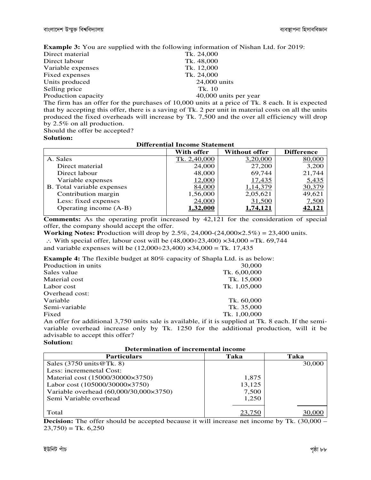**Example 3:** You are supplied with the following information of Nishan Ltd. for 2019:

| Direct material     | Tk. 24,000            |
|---------------------|-----------------------|
| Direct labour       | Tk. 48,000            |
| Variable expenses   | Tk. 12,000            |
| Fixed expenses      | Tk. 24,000            |
| Units produced      | $24,000$ units        |
| Selling price       | Tk. 10                |
| Production capacity | 40,000 units per year |
|                     |                       |

The firm has an offer for the purchases of 10,000 units at a price of Tk. 8 each. It is expected that by accepting this offer, there is a saving of Tk. 2 per unit in material costs on all the units produced the fixed overheads will increase by Tk. 7,500 and the over all efficiency will drop by 2.5% on all production.

**Differential Income Statement** 

Should the offer be accepted?

#### **Solution:**

| Differential Income Statement |                 |                      |                   |  |
|-------------------------------|-----------------|----------------------|-------------------|--|
|                               | With offer      | <b>Without offer</b> | <b>Difference</b> |  |
| A. Sales                      | Tk. 2,40,000    | 3,20,000             | 80,000            |  |
| Direct material               | 24,000          | 27,200               | 3,200             |  |
| Direct labour                 | 48,000          | 69,744               | 21,744            |  |
| Variable expenses             | 12,000          | 17,435               | 5,435             |  |
| B. Total variable expenses    | 84,000          | 1,14,379             | 30,379            |  |
| Contribution margin           | 1,56,000        | 2,05,621             | 49,621            |  |
| Less: fixed expenses          | 24,000          | 31,500               | 7,500             |  |
| Operating income (A-B)        | <u>1,32,000</u> | <u>1,74,121</u>      | 42,121            |  |
|                               |                 |                      |                   |  |

**Comments:** As the operating profit increased by 42,121 for the consideration of special offer, the company should accept the offer.

**Working Notes: P**roduction will drop by 2.5%, 24,000-(24,000×2.5%) = 23,400 units.

∴ With special offer, labour cost will be  $(48,000 \div 23,400) \times 34,000 =$ Tk. 69,744

and variable expenses will be  $(12,000 \div 23,400) \times 34,000 = \text{Tk. } 17,435$ 

**Example 4:** The flexible budget at 80% capacity of Shapla Ltd. is as below:

| Production in units | 30,000       |
|---------------------|--------------|
| Sales value         | Tk. 6,00,000 |
| Material cost       | Tk. 15,000   |
| Labor cost          | Tk. 1,05,000 |
| Overhead cost:      |              |
| Variable            | Tk. 60,000   |
| Semi-variable       | Tk. 35,000   |
| Fixed               | Tk. 1,00,000 |
|                     |              |

An offer for additional 3,750 units sale is available, if it is supplied at Tk. 8 each. If the semivariable overhead increase only by Tk. 1250 for the additional production, will it be advisable to accept this offer?

#### **Solution:**

| Determination of merchiemal meome      |        |        |  |
|----------------------------------------|--------|--------|--|
| <b>Particulars</b>                     | Taka   | Taka   |  |
| Sales $(3750 \text{ units} \@Tk. 8)$   |        | 30,000 |  |
| Less: incremenetal Cost:               |        |        |  |
| Material cost (15000/30000×3750)       | 1,875  |        |  |
| Labor cost (105000/30000×3750)         | 13,125 |        |  |
| Variable overhead (60,000/30,000×3750) | 7,500  |        |  |
| Semi Variable overhead                 | 1.250  |        |  |
|                                        |        |        |  |
| Total                                  |        |        |  |

**Determination of incremental income** 

**Decision:** The offer should be accepted because it will increase net income by Tk. (30,000 –  $(23,750) =$ Tk. 6,250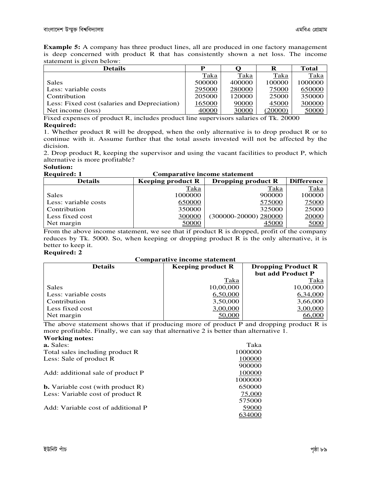**Example 5:** A company has three product lines, all are produced in one factory management is deep concerned with product R that has consistently shown a net loss. The income statement is given below:

| <b>Details</b>                               | D      |        |        | Total   |
|----------------------------------------------|--------|--------|--------|---------|
|                                              | Taka   | Taka   | Taka   | Taka    |
| Sales                                        | 500000 | 400000 | 100000 | 1000000 |
| Less: variable costs                         | 295000 | 280000 | 75000  | 650000  |
| Contribution                                 | 205000 | 120000 | 25000  | 350000  |
| Less: Fixed cost (salaries and Depreciation) | 165000 | 90000  | 45000  | 300000  |
| Net income (loss)                            | 40000  | 30000  | 20000  | 50000   |

Fixed expenses of product R, includes product line supervisors salaries of Tk. 20000

#### **Required:**

1. Whether product R will be dropped, when the only alternative is to drop product R or to continue with it. Assume further that the total assets invested will not be affected by the dicision.

2. Drop product R, keeping the supervisor and using the vacant facilities to product P, which alternative is more profitable?

#### **Solution:**

| <b>Required: 1</b>   | <b>Comparative income statement</b> |                       |             |
|----------------------|-------------------------------------|-----------------------|-------------|
| <b>Details</b>       | <b>Keeping product R</b>            | <b>Difference</b>     |             |
|                      | <u>Taka</u>                         | Taka                  | <u>Taka</u> |
| Sales                | 1000000                             | 900000                | 100000      |
| Less: variable costs | 650000                              | 575000                | 75000       |
| Contribution         | 350000                              | 325000                | 25000       |
| Less fixed cost      | 300000                              | (300000-20000) 280000 | 20000       |
| Net margin           | 50000                               | 45000                 | 5000        |

From the above income statement, we see that if product R is dropped, profit of the company reduces by Tk. 5000. So, when keeping or dropping product R is the only alternative, it is better to keep it.

#### **Required: 2**

#### **Comparative income statement**

| <b>Details</b>       | <b>Keeping product R</b> | <b>Dropping Product R</b> |
|----------------------|--------------------------|---------------------------|
|                      |                          | but add Product P         |
|                      | Taka                     | Taka                      |
| <b>Sales</b>         | 10,00,000                | 10,00,000                 |
| Less: variable costs | 6,50,000                 | 6,34,000                  |
| Contribution         | 3,50,000                 | 3,66,000                  |
| Less fixed cost      | 3,00,000                 | 3,00,000                  |
| Net margin           | 50,000                   | <u>66,000</u>             |

The above statement shows that if producing more of product P and dropping product R is more profitable. Finally, we can say that alternative 2 is better than alternative 1. **Working notes:** 

| Taka    |
|---------|
| 1000000 |
| 100000  |
| 900000  |
| 100000  |
| 1000000 |
| 650000  |
| 75,000  |
| 575000  |
| 59000   |
| 34000   |
|         |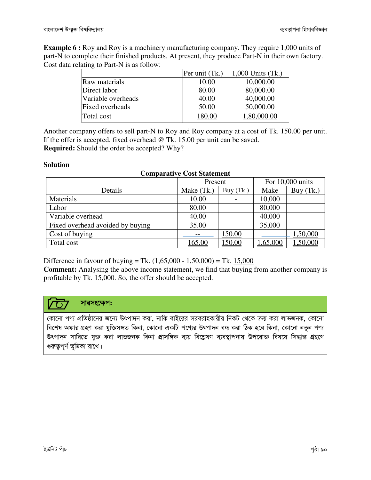**Example 6 :** Roy and Roy is a machinery manufacturing company. They require 1,000 units of part-N to complete their finished products. At present, they produce Part-N in their own factory. Cost data relating to Part-N is as follow:

|                    | Per unit (Tk.) | 1,000 Units (Tk.) |
|--------------------|----------------|-------------------|
| Raw materials      | 10.00          | 10,000.00         |
| Direct labor       | 80.00          | 80,000.00         |
| Variable overheads | 40.00          | 40,000.00         |
| Fixed overheads    | 50.00          | 50,000.00         |
| Total cost         | 180.00         | 1,80,000.00       |

Another company offers to sell part-N to Roy and Roy company at a cost of Tk. 150.00 per unit. If the offer is accepted, fixed overhead @ Tk. 15.00 per unit can be saved. **Required:** Should the order be accepted? Why?

#### **Solution**

| <b>Comparative Cost Statement</b> |            |           |          |                  |
|-----------------------------------|------------|-----------|----------|------------------|
|                                   | Present    |           |          | For 10,000 units |
| Details                           | Make (Tk.) | Buy (Tk.) | Make     | Buy (Tk.)        |
| Materials                         | 10.00      |           | 10,000   |                  |
| Labor                             | 80.00      |           | 80,000   |                  |
| Variable overhead                 | 40.00      |           | 40,000   |                  |
| Fixed overhead avoided by buying  | 35.00      |           | 35,000   |                  |
| Cost of buying                    |            | 150.00    |          | 1,50,000         |
| Total cost                        | 165.00     | 150.00    | 1,65,000 | ,50,000          |

Difference in favour of buying = Tk.  $(1,65,000 - 1,50,000)$  = Tk.  $15,000$ 

**Comment:** Analysing the above income statement, we find that buying from another company is profitable by Tk. 15,000. So, the offer should be accepted.

#### সারসংক্ষেপ:  $\sqrt{1}$

কোনো পণ্য প্রতিষ্ঠানের জন্যে উৎপাদন করা, নাকি বাইরের সরবরাহকারীর নিকট থেকে ক্রয় করা লাভজনক, কোনো বিশেষ অফার গ্রহণ করা যুক্তিসঙ্গত কিনা, কোনো একটি পণ্যের উৎপাদন বন্ধ করা ঠিক হবে কিনা, কোনো নতুন পণ্য উৎপাদন সারিতে যুক্ত করা লাভজনক কিনা প্রাসঙ্গিক ব্যয় বিশ্লেষণ ব্যবস্থাপনায় উপরোক্ত বিষয়ে সিদ্ধান্ত গ্রহণে গুরুত্বপূর্ণ ভূমিকা রাখে।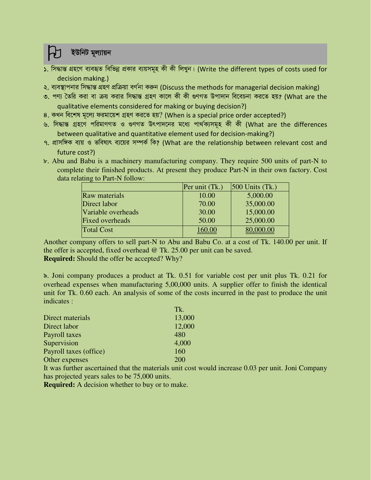### ইউনিট মূল্যায়ন

- ১. সিদ্ধান্ত গ্রহণে ব্যবহৃত বিভিন্ন প্রকার ব্যয়সমূহ কী কী লিখুন। (Write the different types of costs used for decision making.)
- ২. ব্যবস্থাপনার সিদ্ধান্ত গ্রহণ প্রক্রিয়া বর্ণনা করুন (Discuss the methods for managerial decision making)
- ৩. পণ্য তৈরি করা বা ক্রয় করার সিদ্ধান্ত গ্রহণ কালে কী কী গুণগত উপাদান বিবেচনা করতে হয়? (What are the qualitative elements considered for making or buying decision?)
- ৪. কখন বিশেষ মূল্যে ফরমায়েশ গ্রহণ করতে হয়? (When is a special price order accepted?)
- ৬. সিদ্ধান্ত গ্ৰহণে পৱিমাণগত ও গুণগত উৎপাদনের মধ্যে পাৰ্থক্যসমূহ কী কী (What are the differences between qualitative and quantitative element used for decision-making?)
- ৭. প্রাসঙ্গিক ব্যয় ও ভবিষ্যৎ ব্যয়ের সম্পর্ক কি? (What are the relationship between relevant cost and future cost?)
- b. Abu and Babu is a machinery manufacturing company. They require 500 units of part-N to complete their finished products. At present they produce Part-N in their own factory. Cost data relating to Part-N follow:

|                      | Per unit (Tk.) | $ 500$ Units (Tk.) |
|----------------------|----------------|--------------------|
| <b>Raw materials</b> | 10.00          | 5,000.00           |
| Direct labor         | 70.00          | 35,000.00          |
| Variable overheads   | 30.00          | 15,000.00          |
| Fixed overheads      | 50.00          | 25,000.00          |
| <b>Total Cost</b>    | 160.00         | 80,000.00          |

Another company offers to sell part-N to Abu and Babu Co. at a cost of Tk. 140.00 per unit. If the offer is accepted, fixed overhead  $\omega$  Tk. 25.00 per unit can be saved. **Required:** Should the offer be accepted? Why?

S. Joni company produces a product at Tk. 0.51 for variable cost per unit plus Tk. 0.21 for overhead expenses when manufacturing 5,00,000 units. A supplier offer to finish the identical unit for Tk. 0.60 each. An analysis of some of the costs incurred in the past to produce the unit indicates :

|                        | TK.   |
|------------------------|-------|
| Direct materials       | 13,00 |
| Direct labor           | 12,00 |
| Payroll taxes          | 480   |
| Supervision            | 4,000 |
| Payroll taxes (office) | 160   |
| Other expenses         | 200   |
|                        |       |

It was further ascertained that the materials unit cost would increase 0.03 per unit. Joni Company has projected years sales to be 75,000 units.

**Required:** A decision whether to buy or to make.